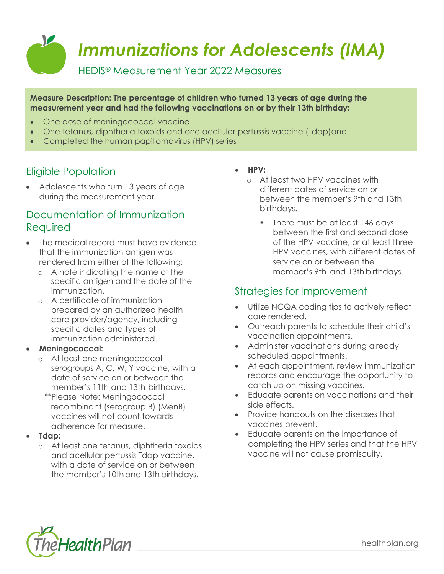

**Measure Description: The percentage of children who turned 13 years of age during the measurement year and had the following vaccinations on or by their 13th birthday:**

- One dose of meningococcal vaccine
- One tetanus, diphtheria toxoids and one acellular pertussis vaccine (Tdap)and
- Completed the human papillomavirus (HPV) series

# Eligible Population

• Adolescents who turn 13 years of age during the measurement year.

## Documentation of Immunization Required

- The medical record must have evidence that the immunization antigen was rendered from either of the following:
	- o A note indicating the name of the specific antigen and the date of the immunization.
	- o A certificate of immunization prepared by an authorized health care provider/agency, including specific dates and types of immunization administered.

### • **Meningococcal:**

- o At least one meningococcal serogroups A, C, W, Y vaccine, with a date of service on or between the member's 11th and 13th birthdays.
	- \*\*Please Note: Meningococcal recombinant (serogroup B) (MenB) vaccines will not count towards adherence for measure.
- **Tdap:**
	- o At least one tetanus, diphtheria toxoids and acellular pertussis Tdap vaccine, with a date of service on or between the member's 10th and 13th birthdays.

#### • **HPV:**

- o At least two HPV vaccines with different dates of service on or between the member's 9th and 13th birthdays.
	- There must be at least 146 days between the first and second dose of the HPV vaccine, or at least three HPV vaccines, with different dates of service on or between the member's 9th and 13th birthdays.

### Strategies for Improvement

- Utilize NCQA coding tips to actively reflect care rendered.
- Outreach parents to schedule their child's vaccination appointments.
- Administer vaccinations during already scheduled appointments.
- At each appointment, review immunization records and encourage the opportunity to catch up on missing vaccines.
- Educate parents on vaccinations and their side effects.
- Provide handouts on the diseases that vaccines prevent.
- Educate parents on the importance of completing the HPV series and that the HPV vaccine will not cause promiscuity.



healthplan.org